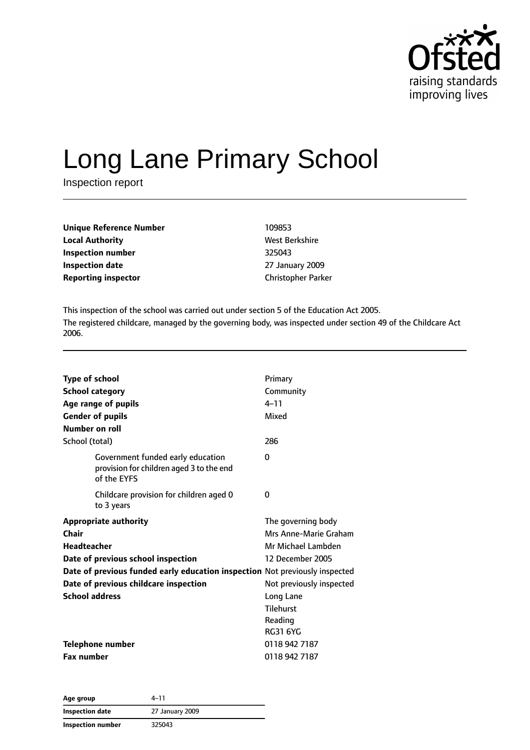

# Long Lane Primary School

Inspection report

| <b>Unique Reference Number</b> | 109853                    |
|--------------------------------|---------------------------|
| <b>Local Authority</b>         | West Berkshire            |
| Inspection number              | 325043                    |
| Inspection date                | 27 January 2009           |
| <b>Reporting inspector</b>     | <b>Christopher Parker</b> |

This inspection of the school was carried out under section 5 of the Education Act 2005. The registered childcare, managed by the governing body, was inspected under section 49 of the Childcare Act 2006.

| <b>Type of school</b><br><b>School category</b><br>Age range of pupils<br><b>Gender of pupils</b><br>Number on roll                                                                                                                                | Primary<br>Community<br>$4 - 11$<br>Mixed                                                                                                                                        |
|----------------------------------------------------------------------------------------------------------------------------------------------------------------------------------------------------------------------------------------------------|----------------------------------------------------------------------------------------------------------------------------------------------------------------------------------|
| School (total)                                                                                                                                                                                                                                     | 286                                                                                                                                                                              |
| Government funded early education<br>provision for children aged 3 to the end<br>of the EYFS                                                                                                                                                       | 0                                                                                                                                                                                |
| Childcare provision for children aged 0<br>to 3 years                                                                                                                                                                                              | 0                                                                                                                                                                                |
| <b>Appropriate authority</b><br>Chair<br><b>Headteacher</b><br>Date of previous school inspection<br>Date of previous funded early education inspection Not previously inspected<br>Date of previous childcare inspection<br><b>School address</b> | The governing body<br>Mrs Anne-Marie Graham<br>Mr Michael Lambden<br>12 December 2005<br>Not previously inspected<br>Long Lane<br><b>Tilehurst</b><br>Reading<br><b>RG31 6YG</b> |
| <b>Telephone number</b><br><b>Fax number</b>                                                                                                                                                                                                       | 0118 942 7187<br>0118 942 7187                                                                                                                                                   |

| Age group                | $4 - 11$        |
|--------------------------|-----------------|
| <b>Inspection date</b>   | 27 January 2009 |
| <b>Inspection number</b> | 325043          |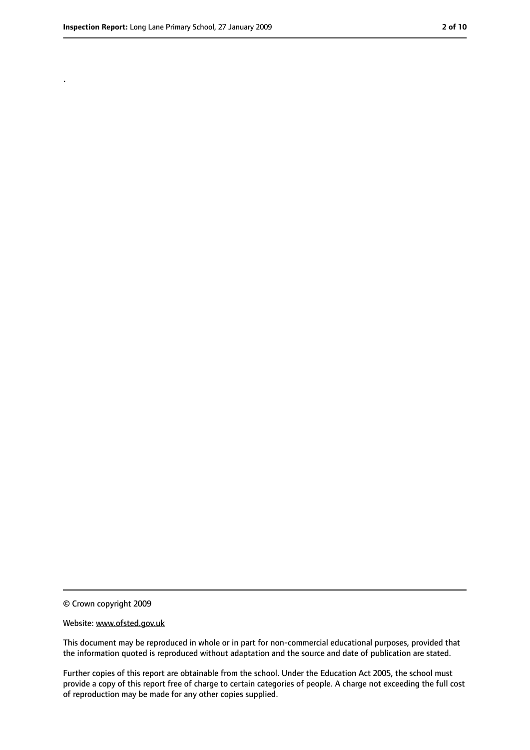.

<sup>©</sup> Crown copyright 2009

Website: www.ofsted.gov.uk

This document may be reproduced in whole or in part for non-commercial educational purposes, provided that the information quoted is reproduced without adaptation and the source and date of publication are stated.

Further copies of this report are obtainable from the school. Under the Education Act 2005, the school must provide a copy of this report free of charge to certain categories of people. A charge not exceeding the full cost of reproduction may be made for any other copies supplied.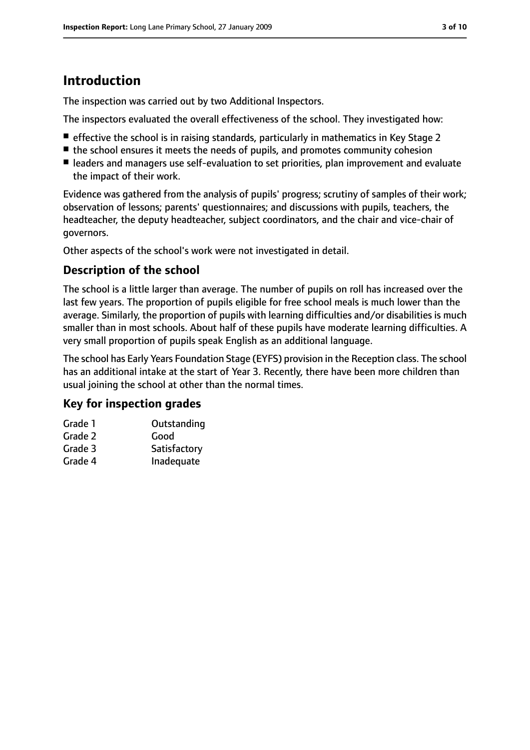# **Introduction**

The inspection was carried out by two Additional Inspectors.

The inspectors evaluated the overall effectiveness of the school. They investigated how:

- effective the school is in raising standards, particularly in mathematics in Key Stage 2
- the school ensures it meets the needs of pupils, and promotes community cohesion
- leaders and managers use self-evaluation to set priorities, plan improvement and evaluate the impact of their work.

Evidence was gathered from the analysis of pupils' progress; scrutiny of samples of their work; observation of lessons; parents' questionnaires; and discussions with pupils, teachers, the headteacher, the deputy headteacher, subject coordinators, and the chair and vice-chair of governors.

Other aspects of the school's work were not investigated in detail.

#### **Description of the school**

The school is a little larger than average. The number of pupils on roll has increased over the last few years. The proportion of pupils eligible for free school meals is much lower than the average. Similarly, the proportion of pupils with learning difficulties and/or disabilities is much smaller than in most schools. About half of these pupils have moderate learning difficulties. A very small proportion of pupils speak English as an additional language.

The school has Early Years Foundation Stage (EYFS) provision in the Reception class. The school has an additional intake at the start of Year 3. Recently, there have been more children than usual joining the school at other than the normal times.

#### **Key for inspection grades**

| Grade 1 | Outstanding  |
|---------|--------------|
| Grade 2 | Good         |
| Grade 3 | Satisfactory |
| Grade 4 | Inadequate   |
|         |              |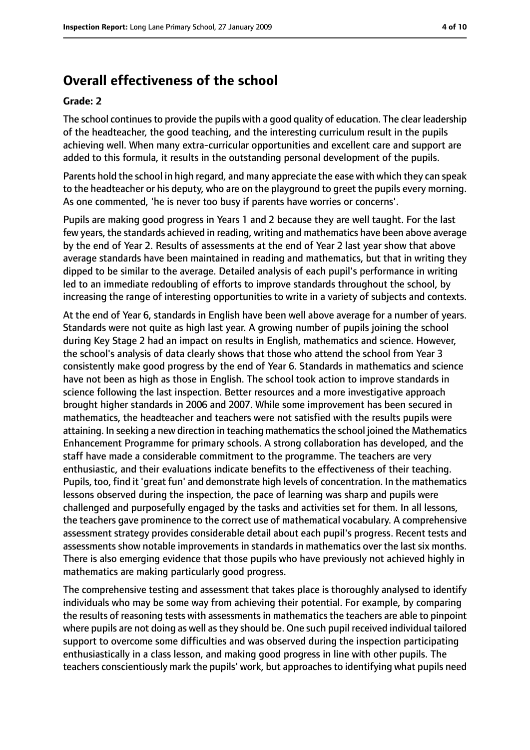# **Overall effectiveness of the school**

#### **Grade: 2**

The school continues to provide the pupils with a good quality of education. The clear leadership of the headteacher, the good teaching, and the interesting curriculum result in the pupils achieving well. When many extra-curricular opportunities and excellent care and support are added to this formula, it results in the outstanding personal development of the pupils.

Parents hold the school in high regard, and many appreciate the ease with which they can speak to the headteacher or his deputy, who are on the playground to greet the pupils every morning. As one commented, 'he is never too busy if parents have worries or concerns'.

Pupils are making good progress in Years 1 and 2 because they are well taught. For the last few years, the standards achieved in reading, writing and mathematics have been above average by the end of Year 2. Results of assessments at the end of Year 2 last year show that above average standards have been maintained in reading and mathematics, but that in writing they dipped to be similar to the average. Detailed analysis of each pupil's performance in writing led to an immediate redoubling of efforts to improve standards throughout the school, by increasing the range of interesting opportunities to write in a variety of subjects and contexts.

At the end of Year 6, standards in English have been well above average for a number of years. Standards were not quite as high last year. A growing number of pupils joining the school during Key Stage 2 had an impact on results in English, mathematics and science. However, the school's analysis of data clearly shows that those who attend the school from Year 3 consistently make good progress by the end of Year 6. Standards in mathematics and science have not been as high as those in English. The school took action to improve standards in science following the last inspection. Better resources and a more investigative approach brought higher standards in 2006 and 2007. While some improvement has been secured in mathematics, the headteacher and teachers were not satisfied with the results pupils were attaining. In seeking a new direction in teaching mathematics the school joined the Mathematics Enhancement Programme for primary schools. A strong collaboration has developed, and the staff have made a considerable commitment to the programme. The teachers are very enthusiastic, and their evaluations indicate benefits to the effectiveness of their teaching. Pupils, too, find it 'great fun' and demonstrate high levels of concentration. In the mathematics lessons observed during the inspection, the pace of learning was sharp and pupils were challenged and purposefully engaged by the tasks and activities set for them. In all lessons, the teachers gave prominence to the correct use of mathematical vocabulary. A comprehensive assessment strategy provides considerable detail about each pupil's progress. Recent tests and assessments show notable improvements in standards in mathematics over the last six months. There is also emerging evidence that those pupils who have previously not achieved highly in mathematics are making particularly good progress.

The comprehensive testing and assessment that takes place is thoroughly analysed to identify individuals who may be some way from achieving their potential. For example, by comparing the results of reasoning tests with assessments in mathematics the teachers are able to pinpoint where pupils are not doing as well as they should be. One such pupil received individual tailored support to overcome some difficulties and was observed during the inspection participating enthusiastically in a class lesson, and making good progress in line with other pupils. The teachers conscientiously mark the pupils' work, but approaches to identifying what pupils need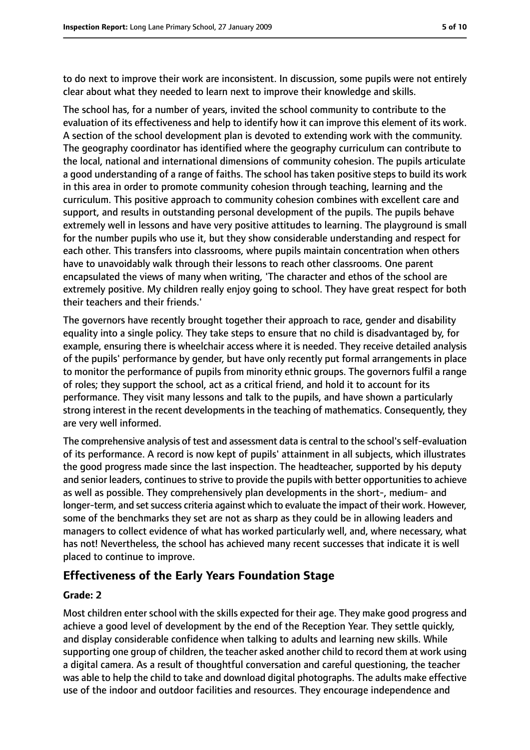to do next to improve their work are inconsistent. In discussion, some pupils were not entirely clear about what they needed to learn next to improve their knowledge and skills.

The school has, for a number of years, invited the school community to contribute to the evaluation of its effectiveness and help to identify how it can improve this element of its work. A section of the school development plan is devoted to extending work with the community. The geography coordinator has identified where the geography curriculum can contribute to the local, national and international dimensions of community cohesion. The pupils articulate a good understanding of a range of faiths. The school has taken positive steps to build its work in this area in order to promote community cohesion through teaching, learning and the curriculum. This positive approach to community cohesion combines with excellent care and support, and results in outstanding personal development of the pupils. The pupils behave extremely well in lessons and have very positive attitudes to learning. The playground is small for the number pupils who use it, but they show considerable understanding and respect for each other. This transfers into classrooms, where pupils maintain concentration when others have to unavoidably walk through their lessons to reach other classrooms. One parent encapsulated the views of many when writing, 'The character and ethos of the school are extremely positive. My children really enjoy going to school. They have great respect for both their teachers and their friends.'

The governors have recently brought together their approach to race, gender and disability equality into a single policy. They take steps to ensure that no child is disadvantaged by, for example, ensuring there is wheelchair access where it is needed. They receive detailed analysis of the pupils' performance by gender, but have only recently put formal arrangements in place to monitor the performance of pupils from minority ethnic groups. The governors fulfil a range of roles; they support the school, act as a critical friend, and hold it to account for its performance. They visit many lessons and talk to the pupils, and have shown a particularly strong interest in the recent developments in the teaching of mathematics. Consequently, they are very well informed.

The comprehensive analysis of test and assessment data is central to the school's self-evaluation of its performance. A record is now kept of pupils' attainment in all subjects, which illustrates the good progress made since the last inspection. The headteacher, supported by his deputy and senior leaders, continues to strive to provide the pupils with better opportunities to achieve as well as possible. They comprehensively plan developments in the short-, medium- and longer-term, and set success criteria against which to evaluate the impact of their work. However, some of the benchmarks they set are not as sharp as they could be in allowing leaders and managers to collect evidence of what has worked particularly well, and, where necessary, what has not! Nevertheless, the school has achieved many recent successes that indicate it is well placed to continue to improve.

#### **Effectiveness of the Early Years Foundation Stage**

#### **Grade: 2**

Most children enter school with the skills expected for their age. They make good progress and achieve a good level of development by the end of the Reception Year. They settle quickly, and display considerable confidence when talking to adults and learning new skills. While supporting one group of children, the teacher asked another child to record them at work using a digital camera. As a result of thoughtful conversation and careful questioning, the teacher was able to help the child to take and download digital photographs. The adults make effective use of the indoor and outdoor facilities and resources. They encourage independence and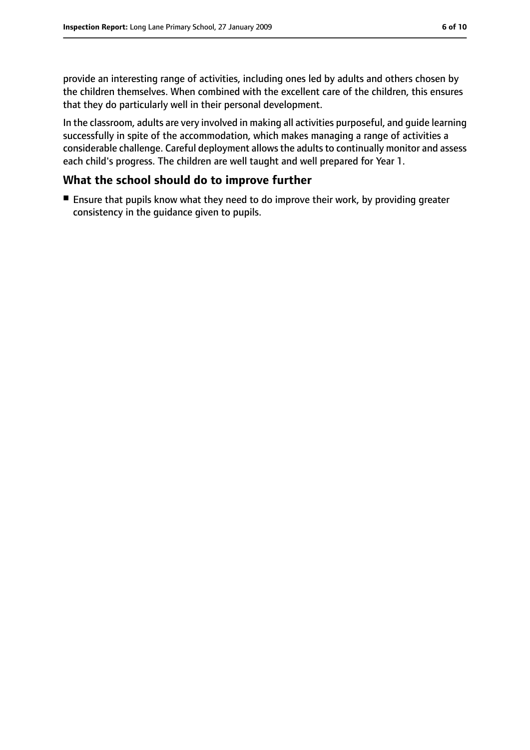provide an interesting range of activities, including ones led by adults and others chosen by the children themselves. When combined with the excellent care of the children, this ensures that they do particularly well in their personal development.

In the classroom, adults are very involved in making all activities purposeful, and guide learning successfully in spite of the accommodation, which makes managing a range of activities a considerable challenge. Careful deployment allows the adults to continually monitor and assess each child's progress. The children are well taught and well prepared for Year 1.

#### **What the school should do to improve further**

■ Ensure that pupils know what they need to do improve their work, by providing greater consistency in the guidance given to pupils.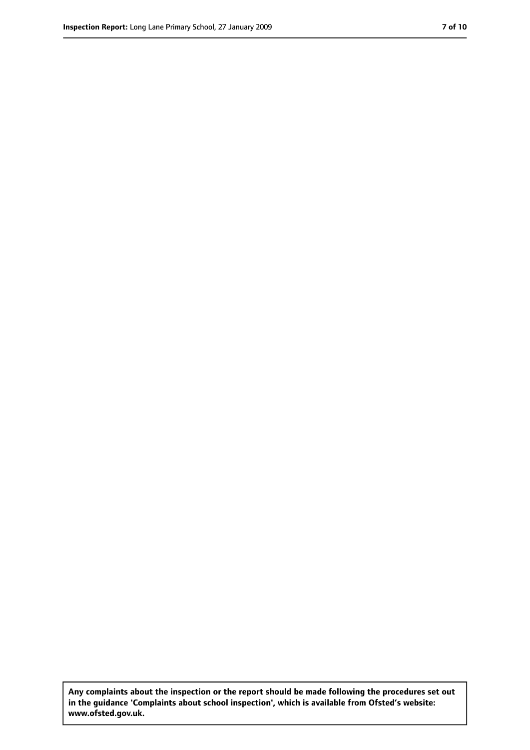**Any complaints about the inspection or the report should be made following the procedures set out in the guidance 'Complaints about school inspection', which is available from Ofsted's website: www.ofsted.gov.uk.**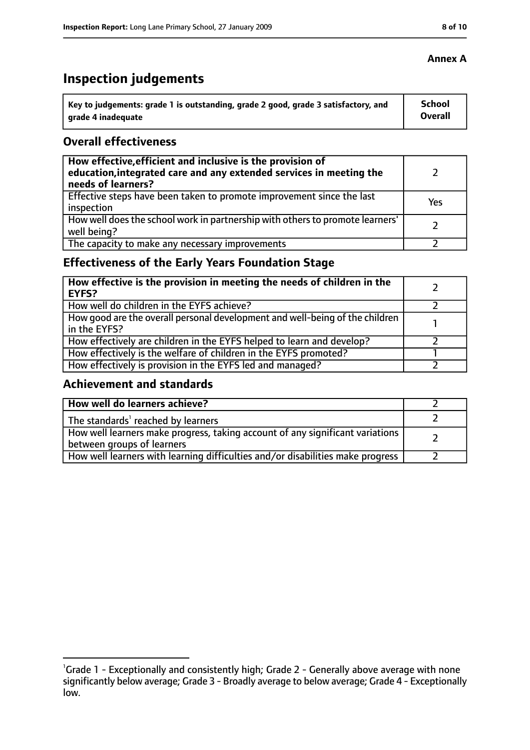# **Inspection judgements**

| key to judgements: grade 1 is outstanding, grade 2 good, grade 3 satisfactory, and ا | School         |
|--------------------------------------------------------------------------------------|----------------|
| arade 4 inadequate                                                                   | <b>Overall</b> |

#### **Overall effectiveness**

| How effective, efficient and inclusive is the provision of<br>education, integrated care and any extended services in meeting the<br>needs of learners? |     |
|---------------------------------------------------------------------------------------------------------------------------------------------------------|-----|
| Effective steps have been taken to promote improvement since the last<br>inspection                                                                     | Yes |
| How well does the school work in partnership with others to promote learners'<br>well being?                                                            |     |
| The capacity to make any necessary improvements                                                                                                         |     |

# **Effectiveness of the Early Years Foundation Stage**

| How effective is the provision in meeting the needs of children in the<br>EYFS?              |  |
|----------------------------------------------------------------------------------------------|--|
| How well do children in the EYFS achieve?                                                    |  |
| How good are the overall personal development and well-being of the children<br>in the EYFS? |  |
| How effectively are children in the EYFS helped to learn and develop?                        |  |
| How effectively is the welfare of children in the EYFS promoted?                             |  |
| How effectively is provision in the EYFS led and managed?                                    |  |

#### **Achievement and standards**

| How well do learners achieve?                                                  |  |
|--------------------------------------------------------------------------------|--|
| $\vert$ The standards <sup>1</sup> reached by learners                         |  |
| How well learners make progress, taking account of any significant variations  |  |
| between groups of learners                                                     |  |
| How well learners with learning difficulties and/or disabilities make progress |  |

#### **Annex A**

<sup>&</sup>lt;sup>1</sup>Grade 1 - Exceptionally and consistently high; Grade 2 - Generally above average with none significantly below average; Grade 3 - Broadly average to below average; Grade 4 - Exceptionally low.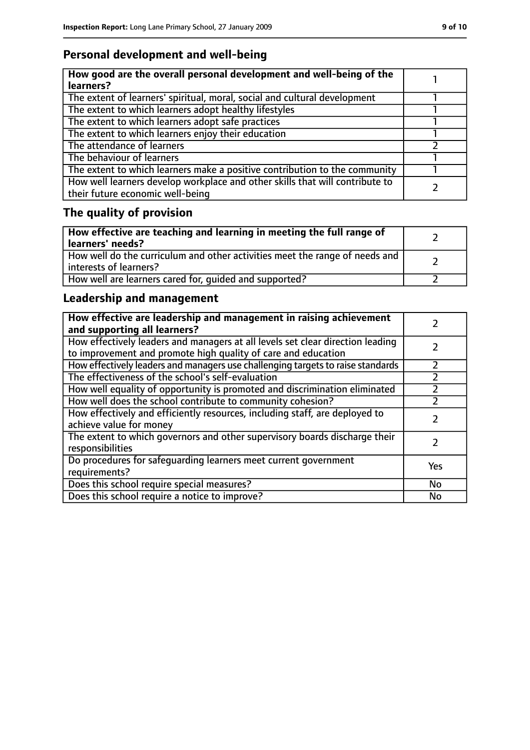# **Personal development and well-being**

| How good are the overall personal development and well-being of the<br>learners?                                 |  |
|------------------------------------------------------------------------------------------------------------------|--|
| The extent of learners' spiritual, moral, social and cultural development                                        |  |
| The extent to which learners adopt healthy lifestyles                                                            |  |
| The extent to which learners adopt safe practices                                                                |  |
| The extent to which learners enjoy their education                                                               |  |
| The attendance of learners                                                                                       |  |
| The behaviour of learners                                                                                        |  |
| The extent to which learners make a positive contribution to the community                                       |  |
| How well learners develop workplace and other skills that will contribute to<br>their future economic well-being |  |

# **The quality of provision**

| How effective are teaching and learning in meeting the full range of<br>learners' needs?              |  |
|-------------------------------------------------------------------------------------------------------|--|
| How well do the curriculum and other activities meet the range of needs and<br>interests of learners? |  |
| How well are learners cared for, quided and supported?                                                |  |

# **Leadership and management**

| How effective are leadership and management in raising achievement<br>and supporting all learners?                                              |           |
|-------------------------------------------------------------------------------------------------------------------------------------------------|-----------|
| How effectively leaders and managers at all levels set clear direction leading<br>to improvement and promote high quality of care and education |           |
| How effectively leaders and managers use challenging targets to raise standards                                                                 | フ         |
| The effectiveness of the school's self-evaluation                                                                                               |           |
| How well equality of opportunity is promoted and discrimination eliminated                                                                      |           |
| How well does the school contribute to community cohesion?                                                                                      |           |
| How effectively and efficiently resources, including staff, are deployed to<br>achieve value for money                                          |           |
| The extent to which governors and other supervisory boards discharge their<br>responsibilities                                                  |           |
| Do procedures for safequarding learners meet current government<br>requirements?                                                                | Yes       |
| Does this school require special measures?                                                                                                      | <b>No</b> |
| Does this school require a notice to improve?                                                                                                   | No        |